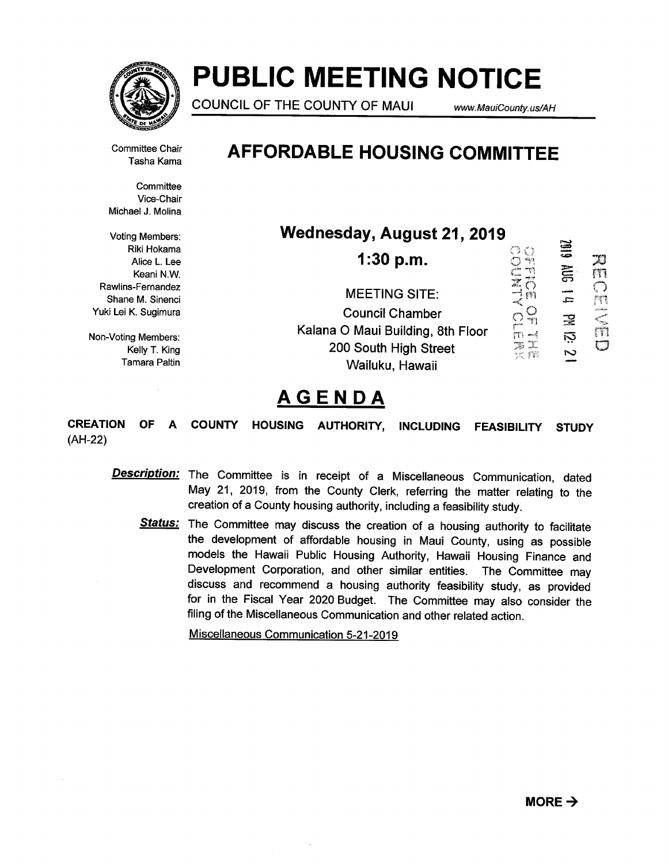

# PUBLIC MEETING NOTICE

COUNCIL OF THE COUNTY OF MAUI www.MauiCounty.us/AH

 $\approx$ 

Committee Chair Tasha Kama

**Committee** Vice-Chair Michael J. Molina

Voting Members: Riki Hokama Alice L. Lee Keani N.W. Rawlins-Fernandez Shane M. Sinenci Yuki Lei K. Sugimura

Non-Voting Members: Kelly T. King Tamara Paltin

## AFFORDABLE HOUSING COMMITTEE

Wednesday, August 21, 2019

| 1:30 p.m.                         |        | سبب<br>سنر م |  |
|-----------------------------------|--------|--------------|--|
| <b>MEETING SITE:</b>              |        | .E.          |  |
| <b>Council Chamber</b>            | ego.   | ÷            |  |
| Kalana O Maui Building, 8th Floor |        | ឆុ           |  |
| 200 South High Street             | er fil | N            |  |
| Wailuku, Hawaii                   |        |              |  |

## **AGENDA**

CREATION OF A (AH-22) COUNTY HOUSING AUTHORITY, INCLUDING FEASIBILITY STUDY

- **Description:** The Committee is in receipt of a Miscellaneous Communication, dated May 21, 2019, from the County Clerk, referring the matter relating to the creation of a County housing authority, including a feasibility study.
	- Status: The Committee may discuss the creation of a housing authority to facilitate the development of affordable housing in Maui County, using as possible models the Hawaii Public Housing Authority, Hawaii Housing Finance and Development Corporation, and other similar entities. The Committee may discuss and recommend a housing authority feasibility study, as provided for in the Fiscal Year 2020 Budget. The Committee may also consider the filing of the Miscellaneous Communication and other related action.

Miscellaneous Communication 5-21-2019